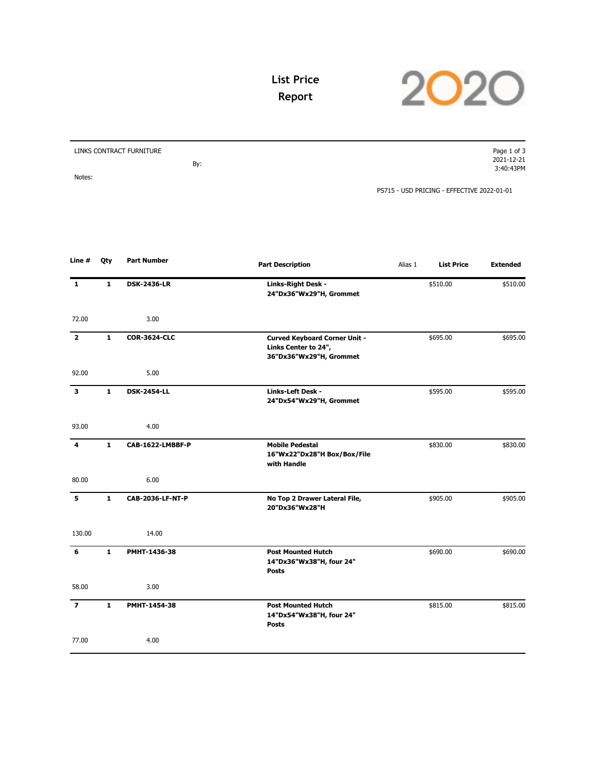

## **List Price Report**

| LINKS CONTRACT FURNITURE | Page 1 of 3                                |
|--------------------------|--------------------------------------------|
|                          | 2021-12-21                                 |
| By:                      | 3:40:43PM                                  |
| Notes:                   |                                            |
|                          | PS715 - USD PRICING - EFFECTIVE 2022-01-01 |

| Line #         | Qty          | <b>Part Number</b>  | <b>Part Description</b>                                                                 | Alias 1 | <b>List Price</b> | <b>Extended</b> |
|----------------|--------------|---------------------|-----------------------------------------------------------------------------------------|---------|-------------------|-----------------|
| 1              | 1            | <b>DSK-2436-LR</b>  | Links-Right Desk -<br>24"Dx36"Wx29"H, Grommet                                           |         | \$510.00          | \$510.00        |
| 72.00          |              | 3.00                |                                                                                         |         |                   |                 |
| $\overline{2}$ | $\mathbf{1}$ | <b>COR-3624-CLC</b> | <b>Curved Keyboard Corner Unit -</b><br>Links Center to 24",<br>36"Dx36"Wx29"H, Grommet |         | \$695.00          | \$695.00        |
| 92.00          |              | 5.00                |                                                                                         |         |                   |                 |
| 3              | $\mathbf{1}$ | <b>DSK-2454-LL</b>  | <b>Links-Left Desk -</b><br>24"Dx54"Wx29"H, Grommet                                     |         | \$595.00          | \$595.00        |
| 93.00          |              | 4.00                |                                                                                         |         |                   |                 |
| 4              | $\mathbf{1}$ | CAB-1622-LMBBF-P    | <b>Mobile Pedestal</b><br>16"Wx22"Dx28"H Box/Box/File<br>with Handle                    |         | \$830.00          | \$830.00        |
| 80.00          |              | 6.00                |                                                                                         |         |                   |                 |
| 5              | $\mathbf{1}$ | CAB-2036-LF-NT-P    | No Top 2 Drawer Lateral File,<br>20"Dx36"Wx28"H                                         |         | \$905.00          | \$905.00        |
| 130.00         |              | 14.00               |                                                                                         |         |                   |                 |
| 6              | $\mathbf{1}$ | PMHT-1436-38        | <b>Post Mounted Hutch</b><br>14"Dx36"Wx38"H, four 24"<br><b>Posts</b>                   |         | \$690.00          | \$690.00        |
| 58.00          |              | 3.00                |                                                                                         |         |                   |                 |
| $\overline{ }$ | $\mathbf{1}$ | PMHT-1454-38        | <b>Post Mounted Hutch</b><br>14"Dx54"Wx38"H, four 24"<br><b>Posts</b>                   |         | \$815.00          | \$815.00        |
| 77.00          |              | 4.00                |                                                                                         |         |                   |                 |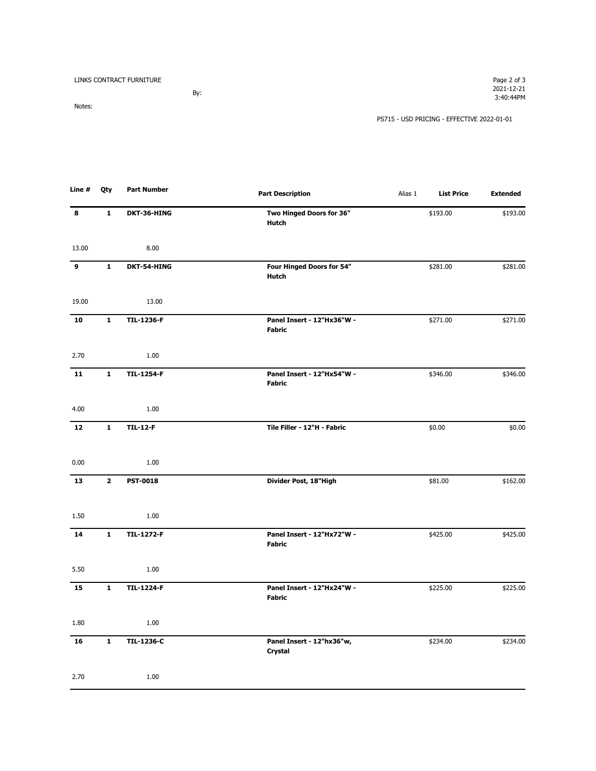| LINKS CONTRACT FURNITURE |     | Page 2 of 3                                |
|--------------------------|-----|--------------------------------------------|
|                          |     | 2021-12-21                                 |
|                          | By: | 3:40:44PM                                  |
| Notes:                   |     |                                            |
|                          |     | PS715 - USD PRICING - EFFECTIVE 2022-01-01 |

| Line # | Qty          | <b>Part Number</b> | <b>Part Description</b>                     | Alias 1 | <b>List Price</b> | <b>Extended</b> |
|--------|--------------|--------------------|---------------------------------------------|---------|-------------------|-----------------|
| 8      | $\mathbf{1}$ | DKT-36-HING        | Two Hinged Doors for 36"<br><b>Hutch</b>    |         | \$193.00          | \$193.00        |
| 13.00  |              | 8.00               |                                             |         |                   |                 |
| 9      | $\mathbf{1}$ | DKT-54-HING        | Four Hinged Doors for 54"<br><b>Hutch</b>   |         | \$281.00          | \$281.00        |
| 19.00  |              | 13.00              |                                             |         |                   |                 |
| 10     | $\mathbf{1}$ | <b>TIL-1236-F</b>  | Panel Insert - 12"Hx36"W -<br><b>Fabric</b> |         | \$271.00          | \$271.00        |
| 2.70   |              | 1.00               |                                             |         |                   |                 |
| 11     | $\mathbf{1}$ | <b>TIL-1254-F</b>  | Panel Insert - 12"Hx54"W -<br><b>Fabric</b> |         | \$346.00          | \$346.00        |
| 4.00   |              | 1.00               |                                             |         |                   |                 |
| 12     | $\mathbf{1}$ | <b>TIL-12-F</b>    | Tile Filler - 12"H - Fabric                 |         | \$0.00            | \$0.00          |
| 0.00   |              | 1.00               |                                             |         |                   |                 |
| 13     | $\mathbf{2}$ | <b>PST-0018</b>    | Divider Post, 18"High                       |         | \$81.00           | \$162.00        |
| 1.50   |              | 1.00               |                                             |         |                   |                 |
| 14     | $\mathbf{1}$ | <b>TIL-1272-F</b>  | Panel Insert - 12"Hx72"W -<br>Fabric        |         | \$425.00          | \$425.00        |
| 5.50   |              | 1.00               |                                             |         |                   |                 |
| 15     | $\mathbf{1}$ | <b>TIL-1224-F</b>  | Panel Insert - 12"Hx24"W -<br><b>Fabric</b> |         | \$225.00          | \$225.00        |
| 1.80   |              | 1.00               |                                             |         |                   |                 |
| 16     | $\mathbf{1}$ | <b>TIL-1236-C</b>  | Panel Insert - 12"hx36"w,<br>Crystal        |         | \$234.00          | \$234.00        |
| 2.70   |              | 1.00               |                                             |         |                   |                 |